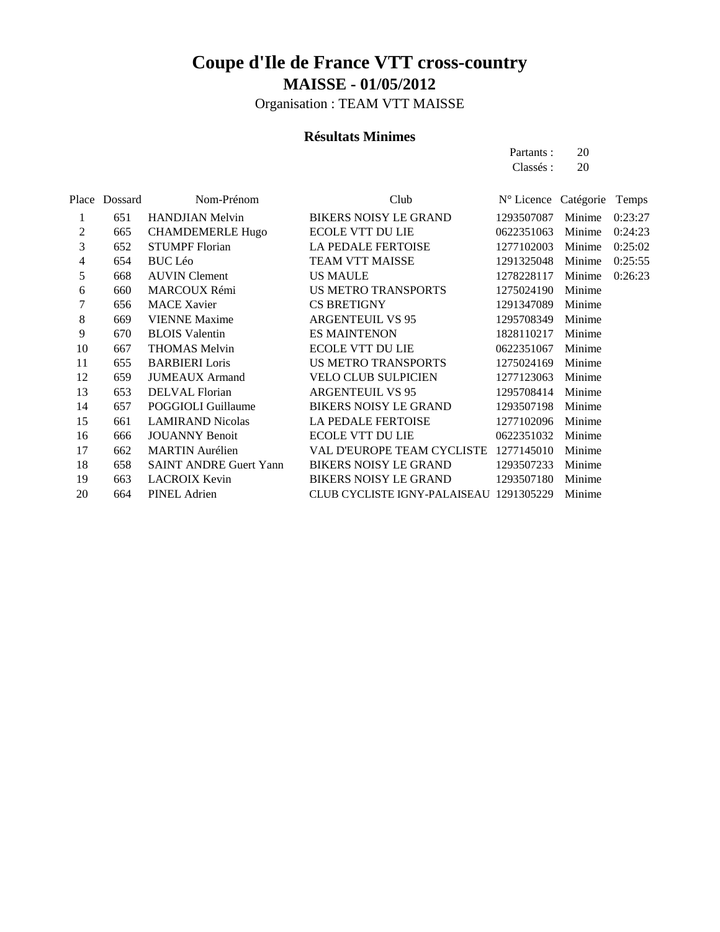Organisation : TEAM VTT MAISSE

#### **Résultats Minimes**

Partants : 20 Classés : 20

|                | Place Dossard | Nom-Prénom                    | Club                                    | N° Licence Catégorie Temps |        |         |
|----------------|---------------|-------------------------------|-----------------------------------------|----------------------------|--------|---------|
| 1              | 651           | <b>HANDJIAN</b> Melvin        | <b>BIKERS NOISY LE GRAND</b>            | 1293507087                 | Minime | 0:23:27 |
| $\mathfrak{2}$ | 665           | <b>CHAMDEMERLE Hugo</b>       | <b>ECOLE VTT DU LIE</b>                 | 0622351063                 | Minime | 0:24:23 |
| 3              | 652           | <b>STUMPF Florian</b>         | <b>LA PEDALE FERTOISE</b>               | 1277102003                 | Minime | 0:25:02 |
| 4              | 654           | <b>BUC Léo</b>                | <b>TEAM VTT MAISSE</b>                  | 1291325048                 | Minime | 0:25:55 |
| 5              | 668           | <b>AUVIN</b> Clement          | <b>US MAULE</b>                         | 1278228117                 | Minime | 0:26:23 |
| 6              | 660           | <b>MARCOUX Rémi</b>           | US METRO TRANSPORTS                     | 1275024190                 | Minime |         |
| 7              | 656           | <b>MACE Xavier</b>            | <b>CS BRETIGNY</b>                      | 1291347089                 | Minime |         |
| $\,8\,$        | 669           | <b>VIENNE Maxime</b>          | <b>ARGENTEUIL VS 95</b>                 | 1295708349                 | Minime |         |
| 9              | 670           | <b>BLOIS</b> Valentin         | <b>ES MAINTENON</b>                     | 1828110217                 | Minime |         |
| 10             | 667           | <b>THOMAS Melvin</b>          | <b>ECOLE VTT DU LIE</b>                 | 0622351067                 | Minime |         |
| 11             | 655           | <b>BARBIERI</b> Loris         | US METRO TRANSPORTS                     | 1275024169                 | Minime |         |
| 12             | 659           | <b>JUMEAUX</b> Armand         | <b>VELO CLUB SULPICIEN</b>              | 1277123063                 | Minime |         |
| 13             | 653           | DELVAL Florian                | <b>ARGENTEUIL VS 95</b>                 | 1295708414                 | Minime |         |
| 14             | 657           | POGGIOLI Guillaume            | <b>BIKERS NOISY LE GRAND</b>            | 1293507198                 | Minime |         |
| 15             | 661           | <b>LAMIRAND Nicolas</b>       | <b>LA PEDALE FERTOISE</b>               | 1277102096                 | Minime |         |
| 16             | 666           | <b>JOUANNY Benoit</b>         | <b>ECOLE VTT DU LIE</b>                 | 0622351032                 | Minime |         |
| 17             | 662           | <b>MARTIN</b> Aurélien        | VAL D'EUROPE TEAM CYCLISTE              | 1277145010                 | Minime |         |
| 18             | 658           | <b>SAINT ANDRE Guert Yann</b> | <b>BIKERS NOISY LE GRAND</b>            | 1293507233                 | Minime |         |
| 19             | 663           | <b>LACROIX Kevin</b>          | <b>BIKERS NOISY LE GRAND</b>            | 1293507180                 | Minime |         |
| 20             | 664           | <b>PINEL Adrien</b>           | CLUB CYCLISTE IGNY-PALAISEAU 1291305229 |                            | Minime |         |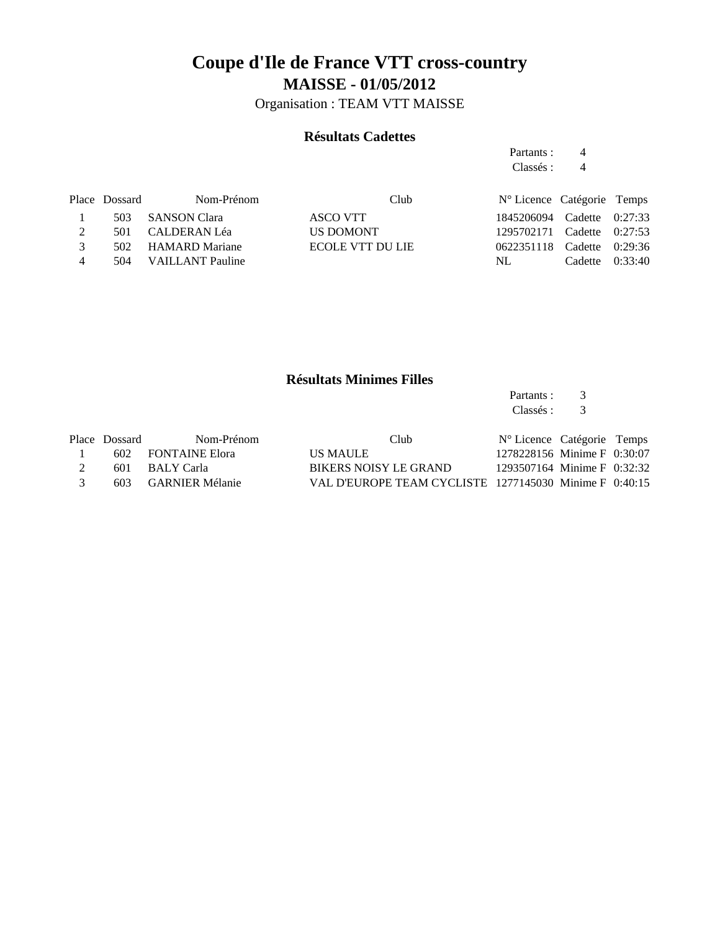Organisation : TEAM VTT MAISSE

### **Résultats Cadettes**

Partants : 4 Classés : 4

|               | Place Dossard | Nom-Prénom           | Club             | N° Licence Catégorie Temps |                   |  |
|---------------|---------------|----------------------|------------------|----------------------------|-------------------|--|
|               |               | 503 SANSON Clara     | ASCO VTT         | 1845206094 Cadette 0:27:33 |                   |  |
|               |               | 501 CALDERAN Léa     | <b>US DOMONT</b> | 1295702171 Cadette 0:27:53 |                   |  |
| $\mathcal{R}$ |               | 502 HAMARD Mariane   | ECOLE VTT DU LIE | 0622351118 Cadette 0:29:36 |                   |  |
| 4             |               | 504 VAILLANT Pauline |                  | NL.                        | Cadette $0:33:40$ |  |

### **Résultats Minimes Filles**

Partants : 3<br>Classés : 3 Classés :

|               | Place Dossard | Nom-Prénom          | Club                                                   | N° Licence Catégorie Temps  |  |
|---------------|---------------|---------------------|--------------------------------------------------------|-----------------------------|--|
|               |               | 602 FONTAINE Elora  | US MAULE                                               | 1278228156 Minime F 0:30:07 |  |
|               |               | 601 BALY Carla      | BIKERS NOISY LE GRAND                                  | 1293507164 Minime F 0:32:32 |  |
| $\mathcal{R}$ |               | 603 GARNIER Mélanie | VAL D'EUROPE TEAM CYCLISTE 1277145030 Minime F 0:40:15 |                             |  |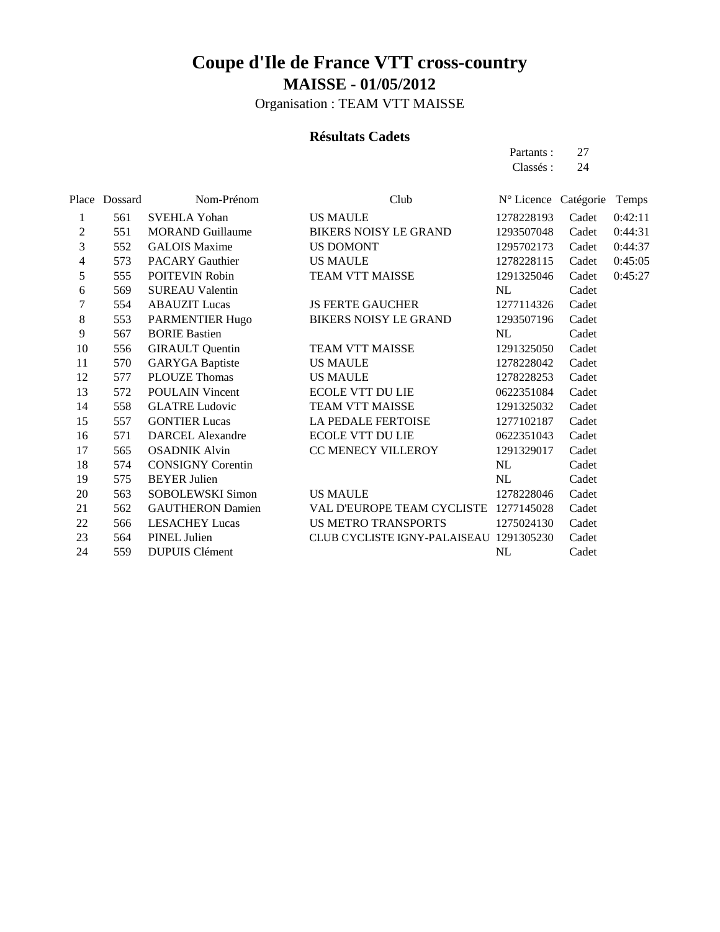Organisation : TEAM VTT MAISSE

### **Résultats Cadets**

Partants : 27 Classés : 24

| Place Dossard | Nom-Prénom               | Club                   |                                                                                                                                                                                                                                                                                                                                                                                                                                   |                                                       | Temps                |
|---------------|--------------------------|------------------------|-----------------------------------------------------------------------------------------------------------------------------------------------------------------------------------------------------------------------------------------------------------------------------------------------------------------------------------------------------------------------------------------------------------------------------------|-------------------------------------------------------|----------------------|
| 561           | <b>SVEHLA Yohan</b>      |                        | 1278228193                                                                                                                                                                                                                                                                                                                                                                                                                        | Cadet                                                 | 0:42:11              |
| 551           | <b>MORAND Guillaume</b>  |                        | 1293507048                                                                                                                                                                                                                                                                                                                                                                                                                        | Cadet                                                 | 0:44:31              |
| 552           | <b>GALOIS Maxime</b>     |                        | 1295702173                                                                                                                                                                                                                                                                                                                                                                                                                        | Cadet                                                 | 0:44:37              |
| 573           | <b>PACARY Gauthier</b>   |                        | 1278228115                                                                                                                                                                                                                                                                                                                                                                                                                        | Cadet                                                 | 0:45:05              |
| 555           | POITEVIN Robin           |                        | 1291325046                                                                                                                                                                                                                                                                                                                                                                                                                        | Cadet                                                 | 0:45:27              |
| 569           | <b>SUREAU Valentin</b>   |                        | NL                                                                                                                                                                                                                                                                                                                                                                                                                                | Cadet                                                 |                      |
| 554           | <b>ABAUZIT Lucas</b>     |                        | 1277114326                                                                                                                                                                                                                                                                                                                                                                                                                        | Cadet                                                 |                      |
| 553           | PARMENTIER Hugo          |                        | 1293507196                                                                                                                                                                                                                                                                                                                                                                                                                        | Cadet                                                 |                      |
| 567           | <b>BORIE Bastien</b>     |                        | NL                                                                                                                                                                                                                                                                                                                                                                                                                                | Cadet                                                 |                      |
| 556           | <b>GIRAULT</b> Quentin   |                        | 1291325050                                                                                                                                                                                                                                                                                                                                                                                                                        | Cadet                                                 |                      |
| 570           |                          |                        | 1278228042                                                                                                                                                                                                                                                                                                                                                                                                                        | Cadet                                                 |                      |
| 577           | <b>PLOUZE Thomas</b>     |                        | 1278228253                                                                                                                                                                                                                                                                                                                                                                                                                        | Cadet                                                 |                      |
| 572           | <b>POULAIN Vincent</b>   |                        | 0622351084                                                                                                                                                                                                                                                                                                                                                                                                                        | Cadet                                                 |                      |
| 558           | <b>GLATRE Ludovic</b>    |                        | 1291325032                                                                                                                                                                                                                                                                                                                                                                                                                        | Cadet                                                 |                      |
| 557           | <b>GONTIER Lucas</b>     |                        | 1277102187                                                                                                                                                                                                                                                                                                                                                                                                                        | Cadet                                                 |                      |
| 571           | <b>DARCEL Alexandre</b>  |                        | 0622351043                                                                                                                                                                                                                                                                                                                                                                                                                        | Cadet                                                 |                      |
| 565           | <b>OSADNIK Alvin</b>     |                        | 1291329017                                                                                                                                                                                                                                                                                                                                                                                                                        | Cadet                                                 |                      |
| 574           | <b>CONSIGNY Corentin</b> |                        | NL                                                                                                                                                                                                                                                                                                                                                                                                                                | Cadet                                                 |                      |
| 575           | <b>BEYER Julien</b>      |                        | NL                                                                                                                                                                                                                                                                                                                                                                                                                                | Cadet                                                 |                      |
| 563           | SOBOLEWSKI Simon         |                        | 1278228046                                                                                                                                                                                                                                                                                                                                                                                                                        | Cadet                                                 |                      |
| 562           | <b>GAUTHERON Damien</b>  |                        |                                                                                                                                                                                                                                                                                                                                                                                                                                   | Cadet                                                 |                      |
| 566           | <b>LESACHEY Lucas</b>    |                        | 1275024130                                                                                                                                                                                                                                                                                                                                                                                                                        | Cadet                                                 |                      |
| 564           | PINEL Julien             |                        |                                                                                                                                                                                                                                                                                                                                                                                                                                   | Cadet                                                 |                      |
| 559           | <b>DUPUIS Clément</b>    |                        | NL                                                                                                                                                                                                                                                                                                                                                                                                                                | Cadet                                                 |                      |
|               |                          | <b>GARYGA</b> Baptiste | <b>US MAULE</b><br><b>BIKERS NOISY LE GRAND</b><br>US DOMONT<br><b>US MAULE</b><br>TEAM VTT MAISSE<br><b>JS FERTE GAUCHER</b><br><b>BIKERS NOISY LE GRAND</b><br>TEAM VTT MAISSE<br><b>US MAULE</b><br><b>US MAULE</b><br><b>ECOLE VTT DU LIE</b><br><b>TEAM VTT MAISSE</b><br>LA PEDALE FERTOISE<br><b>ECOLE VTT DU LIE</b><br>CC MENECY VILLEROY<br><b>US MAULE</b><br>VAL D'EUROPE TEAM CYCLISTE<br><b>US METRO TRANSPORTS</b> | 1277145028<br>CLUB CYCLISTE IGNY-PALAISEAU 1291305230 | N° Licence Catégorie |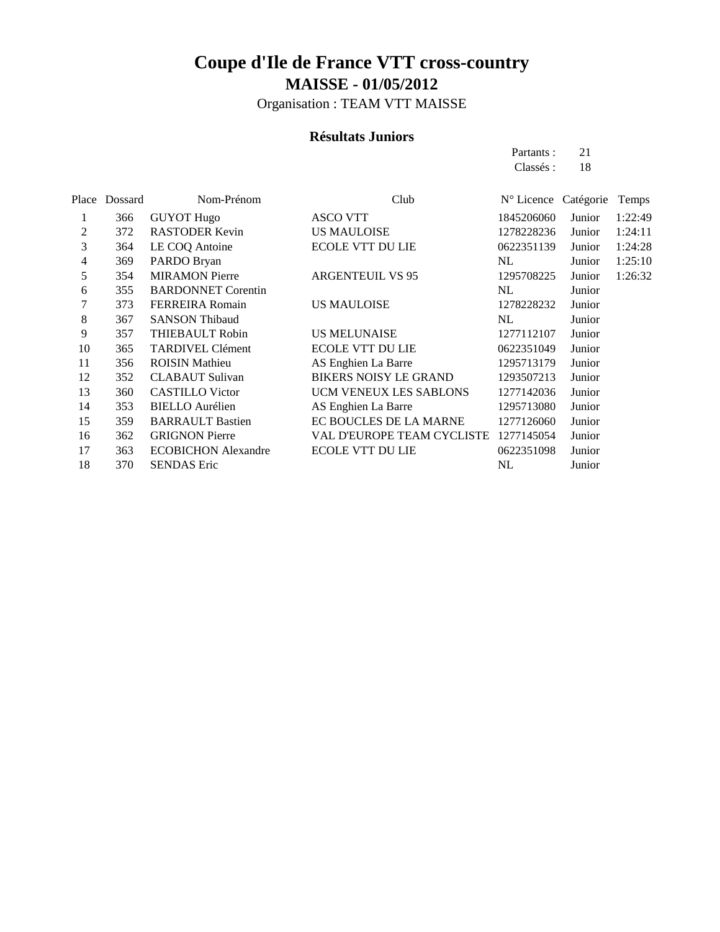Organisation : TEAM VTT MAISSE

#### **Résultats Juniors**

Partants : 21 Classés : 18

| Place | Dossard | Nom-Prénom                 | Club                              | N° Licence Catégorie |        | Temps   |
|-------|---------|----------------------------|-----------------------------------|----------------------|--------|---------|
| 1     | 366     | <b>GUYOT Hugo</b>          | <b>ASCO VTT</b>                   | 1845206060           | Junior | 1:22:49 |
| 2     | 372     | <b>RASTODER Kevin</b>      | <b>US MAULOISE</b>                | 1278228236           | Junior | 1:24:11 |
| 3     | 364     | LE COQ Antoine             | <b>ECOLE VTT DU LIE</b>           | 0622351139           | Junior | 1:24:28 |
| 4     | 369     | PARDO Bryan                |                                   | NL                   | Junior | 1:25:10 |
| 5     | 354     | <b>MIRAMON Pierre</b>      | <b>ARGENTEUIL VS 95</b>           | 1295708225           | Junior | 1:26:32 |
| 6     | 355     | <b>BARDONNET Corentin</b>  |                                   | NL                   | Junior |         |
| 7     | 373     | <b>FERREIRA</b> Romain     | <b>US MAULOISE</b>                | 1278228232           | Junior |         |
| 8     | 367     | <b>SANSON Thibaud</b>      |                                   | NL                   | Junior |         |
| 9     | 357     | THIEBAULT Robin            | <b>US MELUNAISE</b>               | 1277112107           | Junior |         |
| 10    | 365     | <b>TARDIVEL Clément</b>    | <b>ECOLE VTT DU LIE</b>           | 0622351049           | Junior |         |
| 11    | 356     | <b>ROISIN Mathieu</b>      | AS Enghien La Barre               | 1295713179           | Junior |         |
| 12    | 352     | <b>CLABAUT Sulivan</b>     | <b>BIKERS NOISY LE GRAND</b>      | 1293507213           | Junior |         |
| 13    | 360     | <b>CASTILLO</b> Victor     | UCM VENEUX LES SABLONS            | 1277142036           | Junior |         |
| 14    | 353     | <b>BIELLO</b> Aurélien     | AS Enghien La Barre               | 1295713080           | Junior |         |
| 15    | 359     | <b>BARRAULT Bastien</b>    | EC BOUCLES DE LA MARNE            | 1277126060           | Junior |         |
| 16    | 362     | <b>GRIGNON Pierre</b>      | <b>VAL D'EUROPE TEAM CYCLISTE</b> | 1277145054           | Junior |         |
| 17    | 363     | <b>ECOBICHON</b> Alexandre | <b>ECOLE VTT DU LIE</b>           | 0622351098           | Junior |         |
| 18    | 370     | <b>SENDAS Eric</b>         |                                   | NL                   | Junior |         |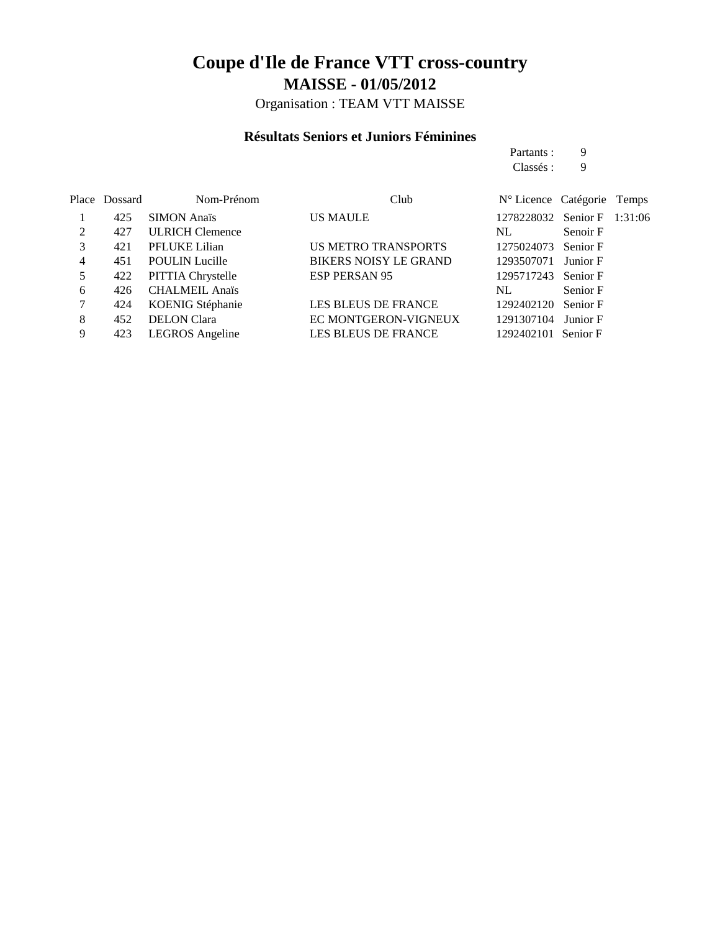Organisation : TEAM VTT MAISSE

### **Résultats Seniors et Juniors Féminines**

|   |               |                        |                              | Partants :                  | 9        |  |
|---|---------------|------------------------|------------------------------|-----------------------------|----------|--|
|   |               |                        |                              | Classés :                   | 9        |  |
|   | Place Dossard | Nom-Prénom             | Club                         | N° Licence Catégorie Temps  |          |  |
|   | 425           | <b>SIMON Anaïs</b>     | <b>US MAULE</b>              | 1278228032 Senior F 1:31:06 |          |  |
| 2 | 427           | <b>ULRICH Clemence</b> |                              | NL.                         | Senoir F |  |
| 3 | 421           | PFLUKE Lilian          | <b>US METRO TRANSPORTS</b>   | 1275024073 Senior F         |          |  |
| 4 | 451           | <b>POULIN</b> Lucille  | <b>BIKERS NOISY LE GRAND</b> | 1293507071                  | Junior F |  |
|   | 422           | PITTIA Chrystelle      | <b>ESP PERSAN 95</b>         | 1295717243 Senior F         |          |  |
|   |               |                        |                              |                             |          |  |

|  | 426 CHALMEIL Anaïs   |                      | NL.                 | Senior F |
|--|----------------------|----------------------|---------------------|----------|
|  | 424 KOENIG Stéphanie | LES BLEUS DE FRANCE  | 1292402120 Senior F |          |
|  | 452 DELON Clara      | EC MONTGERON-VIGNEUX | 1291307104 Junior F |          |
|  | 423 LEGROS Angeline  | LES BLEUS DE FRANCE  | 1292402101 Senior F |          |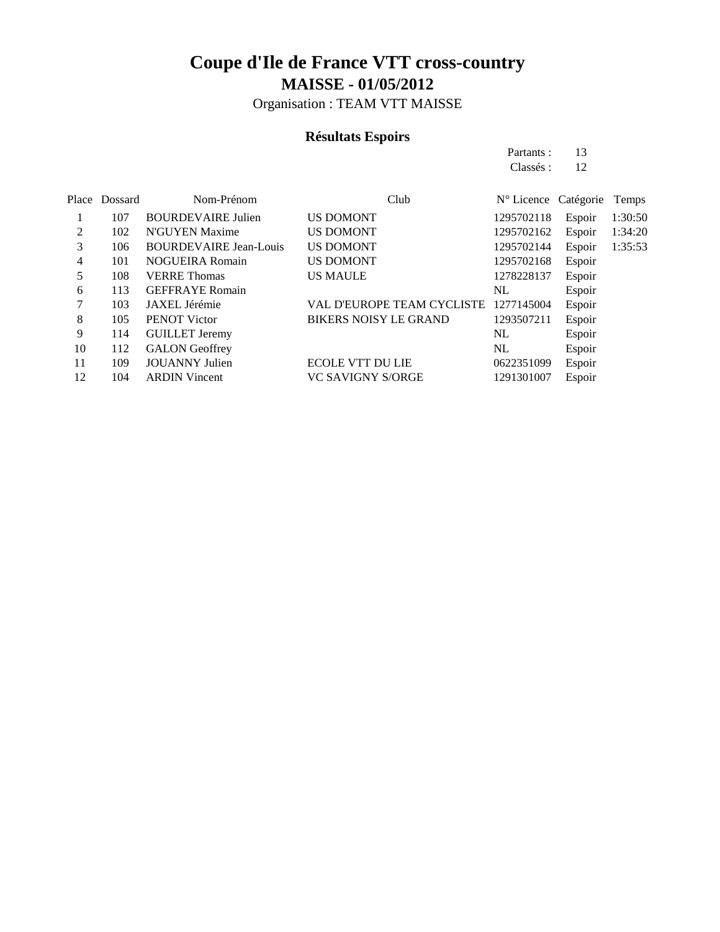Organisation : TEAM VTT MAISSE

### **Résultats Espoirs**

Partants : 13 Classés : 12

|    | Place Dossard | Nom-Prénom                    | Club                              | N° Licence Catégorie |        | Temps   |
|----|---------------|-------------------------------|-----------------------------------|----------------------|--------|---------|
|    | 107           | <b>BOURDEVAIRE Julien</b>     | <b>US DOMONT</b>                  | 1295702118           | Espoir | 1:30:50 |
| 2  | 102           | N'GUYEN Maxime                | <b>US DOMONT</b>                  | 1295702162           | Espoir | 1:34:20 |
| 3  | 106           | <b>BOURDEVAIRE Jean-Louis</b> | <b>US DOMONT</b>                  | 1295702144           | Espoir | 1:35:53 |
| 4  | 101           | <b>NOGUEIRA Romain</b>        | <b>US DOMONT</b>                  | 1295702168           | Espoir |         |
| 5  | 108           | <b>VERRE</b> Thomas           | <b>US MAULE</b>                   | 1278228137           | Espoir |         |
| 6  | 113           | <b>GEFFRAYE Romain</b>        |                                   | NL                   | Espoir |         |
| 7  | 103           | JAXEL Jérémie                 | <b>VAL D'EUROPE TEAM CYCLISTE</b> | 1277145004           | Espoir |         |
| 8  | 105           | PENOT Victor                  | <b>BIKERS NOISY LE GRAND</b>      | 1293507211           | Espoir |         |
| 9  | 114           | <b>GUILLET Jeremy</b>         |                                   | NL                   | Espoir |         |
| 10 | 112           | <b>GALON</b> Geoffrey         |                                   | NL                   | Espoir |         |
| 11 | 109           | <b>JOUANNY</b> Julien         | <b>ECOLE VTT DU LIE</b>           | 0622351099           | Espoir |         |
| 12 | 104           | <b>ARDIN Vincent</b>          | <b>VC SAVIGNY S/ORGE</b>          | 1291301007           | Espoir |         |
|    |               |                               |                                   |                      |        |         |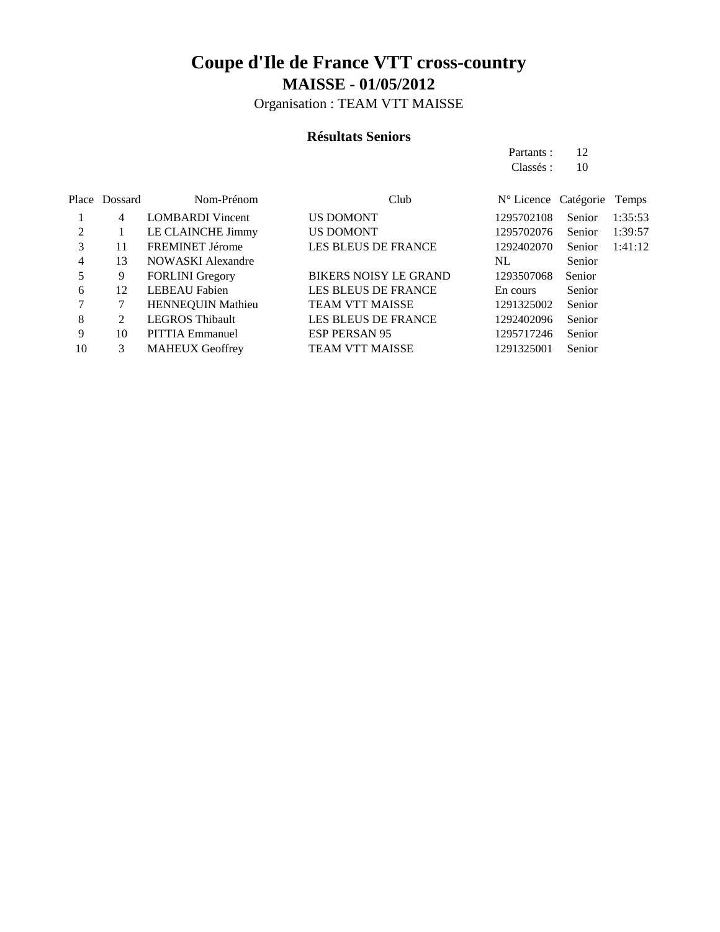Organisation : TEAM VTT MAISSE

### **Résultats Seniors**

Partants : 12 Classés : 10

|    | Place Dossard | Nom-Prénom               | Club                         | N° Licence Catégorie |        | Temps   |
|----|---------------|--------------------------|------------------------------|----------------------|--------|---------|
|    | 4             | <b>LOMBARDI</b> Vincent  | <b>US DOMONT</b>             | 1295702108           | Senior | 1:35:53 |
| 2  |               | LE CLAINCHE Jimmy        | <b>US DOMONT</b>             | 1295702076           | Senior | 1:39:57 |
| 3  | 11            | <b>FREMINET Jérome</b>   | <b>LES BLEUS DE FRANCE</b>   | 1292402070           | Senior | 1:41:12 |
| 4  | 13            | <b>NOWASKI</b> Alexandre |                              | NL.                  | Senior |         |
| 5  | 9             | <b>FORLINI</b> Gregory   | <b>BIKERS NOISY LE GRAND</b> | 1293507068           | Senior |         |
| 6  | 12            | <b>LEBEAU Fabien</b>     | <b>LES BLEUS DE FRANCE</b>   | En cours             | Senior |         |
|    | 7             | <b>HENNEQUIN Mathieu</b> | <b>TEAM VTT MAISSE</b>       | 1291325002           | Senior |         |
| 8  | 2             | <b>LEGROS Thibault</b>   | <b>LES BLEUS DE FRANCE</b>   | 1292402096           | Senior |         |
| 9  | 10            | <b>PITTIA Emmanuel</b>   | <b>ESP PERSAN 95</b>         | 1295717246           | Senior |         |
| 10 | 3             | <b>MAHEUX Geoffrey</b>   | <b>TEAM VTT MAISSE</b>       | 1291325001           | Senior |         |
|    |               |                          |                              |                      |        |         |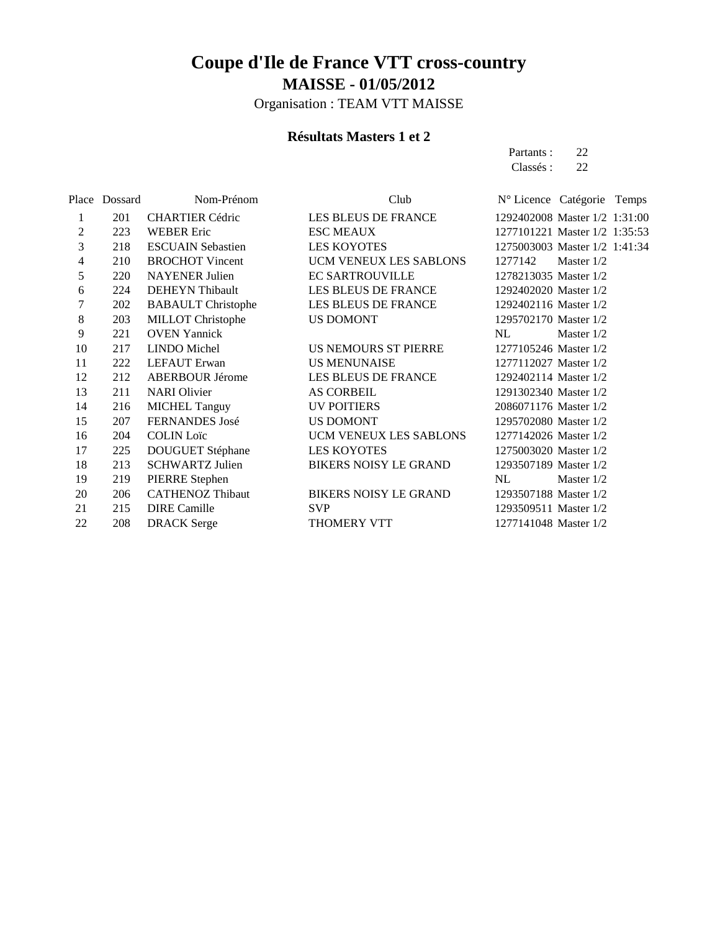Organisation : TEAM VTT MAISSE

### **Résultats Masters 1 et 2**

Partants : 22 Classés : 22

|    | Place Dossard | Nom-Prénom                | Club                         | Nº Licence Catégorie Temps    |              |  |
|----|---------------|---------------------------|------------------------------|-------------------------------|--------------|--|
| 1  | 201           | <b>CHARTIER Cédric</b>    | LES BLEUS DE FRANCE          | 1292402008 Master 1/2 1:31:00 |              |  |
| 2  | 223           | <b>WEBER Eric</b>         | <b>ESC MEAUX</b>             | 1277101221 Master 1/2 1:35:53 |              |  |
| 3  | 218           | <b>ESCUAIN Sebastien</b>  | <b>LES KOYOTES</b>           | 1275003003 Master 1/2 1:41:34 |              |  |
| 4  | 210           | <b>BROCHOT</b> Vincent    | UCM VENEUX LES SABLONS       | 1277142                       | Master $1/2$ |  |
| 5  | 220           | <b>NAYENER</b> Julien     | <b>EC SARTROUVILLE</b>       | 1278213035 Master 1/2         |              |  |
| 6  | 224           | DEHEYN Thibault           | LES BLEUS DE FRANCE          | 1292402020 Master 1/2         |              |  |
| 7  | 202           | <b>BABAULT</b> Christophe | LES BLEUS DE FRANCE          | 1292402116 Master 1/2         |              |  |
| 8  | 203           | <b>MILLOT</b> Christophe  | <b>US DOMONT</b>             | 1295702170 Master 1/2         |              |  |
| 9  | 221           | <b>OVEN Yannick</b>       |                              | NL                            | Master $1/2$ |  |
| 10 | 217           | LINDO Michel              | US NEMOURS ST PIERRE         | 1277105246 Master 1/2         |              |  |
| 11 | 222           | LEFAUT Erwan              | <b>US MENUNAISE</b>          | 1277112027 Master 1/2         |              |  |
| 12 | 212           | <b>ABERBOUR Jérome</b>    | LES BLEUS DE FRANCE          | 1292402114 Master 1/2         |              |  |
| 13 | 211           | <b>NARI</b> Olivier       | <b>AS CORBEIL</b>            | 1291302340 Master 1/2         |              |  |
| 14 | 216           | <b>MICHEL Tanguy</b>      | <b>UV POITIERS</b>           | 2086071176 Master 1/2         |              |  |
| 15 | 207           | FERNANDES José            | US DOMONT                    | 1295702080 Master 1/2         |              |  |
| 16 | 204           | <b>COLIN Loïc</b>         | UCM VENEUX LES SABLONS       | 1277142026 Master 1/2         |              |  |
| 17 | 225           | <b>DOUGUET Stéphane</b>   | <b>LES KOYOTES</b>           | 1275003020 Master 1/2         |              |  |
| 18 | 213           | <b>SCHWARTZ Julien</b>    | <b>BIKERS NOISY LE GRAND</b> | 1293507189 Master 1/2         |              |  |
| 19 | 219           | PIERRE Stephen            |                              | NL                            | Master $1/2$ |  |
| 20 | 206           | <b>CATHENOZ Thibaut</b>   | <b>BIKERS NOISY LE GRAND</b> | 1293507188 Master 1/2         |              |  |
| 21 | 215           | <b>DIRE</b> Camille       | <b>SVP</b>                   | 1293509511 Master 1/2         |              |  |
| 22 | 208           | <b>DRACK</b> Serge        | THOMERY VTT                  | 1277141048 Master 1/2         |              |  |
|    |               |                           |                              |                               |              |  |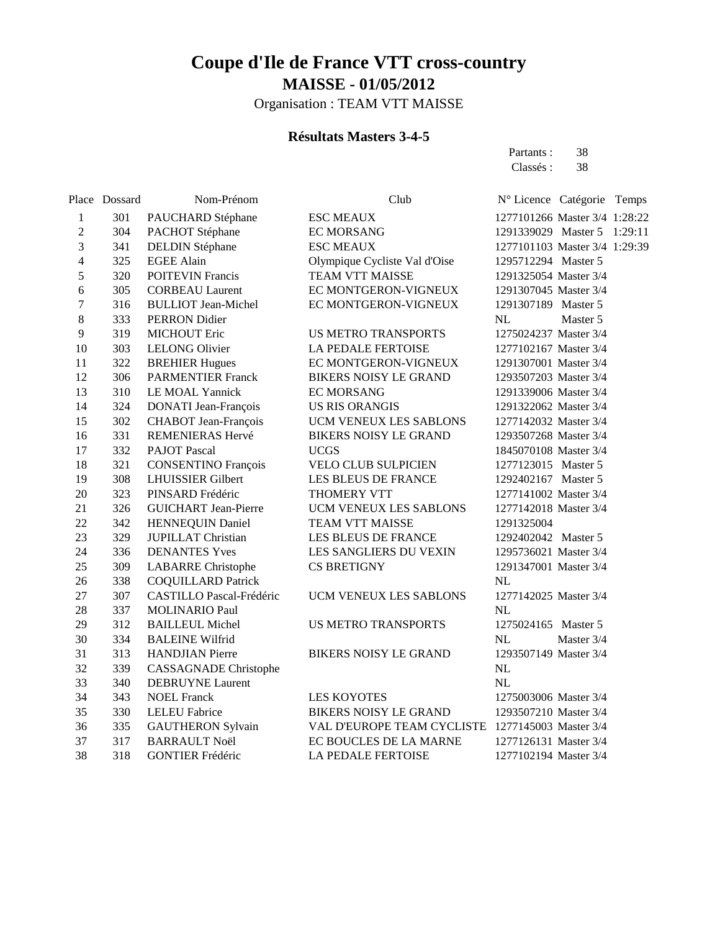Organisation : TEAM VTT MAISSE

### **Résultats Masters 3-4-5**

Partants : 38 Classés: 38

|                | Place Dossard | Nom-Prénom                      | Club                          | N° Licence Catégorie Temps    |  |
|----------------|---------------|---------------------------------|-------------------------------|-------------------------------|--|
| 1              | 301           | PAUCHARD Stéphane               | <b>ESC MEAUX</b>              | 1277101266 Master 3/4 1:28:22 |  |
| $\overline{c}$ | 304           | PACHOT Stéphane                 | <b>EC MORSANG</b>             | 1291339029 Master 5 1:29:11   |  |
| 3              | 341           | <b>DELDIN Stéphane</b>          | <b>ESC MEAUX</b>              | 1277101103 Master 3/4 1:29:39 |  |
| $\overline{4}$ | 325           | <b>EGEE Alain</b>               | Olympique Cycliste Val d'Oise | 1295712294 Master 5           |  |
| 5              | 320           | <b>POITEVIN Francis</b>         | <b>TEAM VTT MAISSE</b>        | 1291325054 Master 3/4         |  |
| 6              | 305           | <b>CORBEAU Laurent</b>          | EC MONTGERON-VIGNEUX          | 1291307045 Master 3/4         |  |
| $\overline{7}$ | 316           | <b>BULLIOT Jean-Michel</b>      | EC MONTGERON-VIGNEUX          | 1291307189 Master 5           |  |
| 8              | 333           | PERRON Didier                   |                               | NL<br>Master 5                |  |
| 9              | 319           | <b>MICHOUT Eric</b>             | <b>US METRO TRANSPORTS</b>    | 1275024237 Master 3/4         |  |
| 10             | 303           | <b>LELONG Olivier</b>           | LA PEDALE FERTOISE            | 1277102167 Master 3/4         |  |
| 11             | 322           | <b>BREHIER Hugues</b>           | EC MONTGERON-VIGNEUX          | 1291307001 Master 3/4         |  |
| 12             | 306           | <b>PARMENTIER Franck</b>        | <b>BIKERS NOISY LE GRAND</b>  | 1293507203 Master 3/4         |  |
| 13             | 310           | LE MOAL Yannick                 | <b>EC MORSANG</b>             | 1291339006 Master 3/4         |  |
| 14             | 324           | DONATI Jean-François            | <b>US RIS ORANGIS</b>         | 1291322062 Master 3/4         |  |
| 15             | 302           | CHABOT Jean-François            | UCM VENEUX LES SABLONS        | 1277142032 Master 3/4         |  |
| 16             | 331           | REMENIERAS Hervé                | <b>BIKERS NOISY LE GRAND</b>  | 1293507268 Master 3/4         |  |
| 17             | 332           | <b>PAJOT Pascal</b>             | <b>UCGS</b>                   | 1845070108 Master 3/4         |  |
| 18             | 321           | <b>CONSENTINO François</b>      | <b>VELO CLUB SULPICIEN</b>    | 1277123015 Master 5           |  |
| 19             | 308           | <b>LHUISSIER Gilbert</b>        | LES BLEUS DE FRANCE           | 1292402167 Master 5           |  |
| 20             | 323           | PINSARD Frédéric                | THOMERY VTT                   | 1277141002 Master 3/4         |  |
| 21             | 326           | <b>GUICHART</b> Jean-Pierre     | UCM VENEUX LES SABLONS        | 1277142018 Master 3/4         |  |
| 22             | 342           | <b>HENNEQUIN Daniel</b>         | TEAM VTT MAISSE               | 1291325004                    |  |
| 23             | 329           | <b>JUPILLAT</b> Christian       | LES BLEUS DE FRANCE           | 1292402042 Master 5           |  |
| 24             | 336           | <b>DENANTES Yves</b>            | LES SANGLIERS DU VEXIN        | 1295736021 Master 3/4         |  |
| 25             | 309           | <b>LABARRE</b> Christophe       | <b>CS BRETIGNY</b>            | 1291347001 Master 3/4         |  |
| 26             | 338           | <b>COQUILLARD Patrick</b>       |                               | NL                            |  |
| 27             | 307           | <b>CASTILLO Pascal-Frédéric</b> | UCM VENEUX LES SABLONS        | 1277142025 Master 3/4         |  |
| 28             | 337           | <b>MOLINARIO Paul</b>           |                               | NL                            |  |
| 29             | 312           | <b>BAILLEUL Michel</b>          | <b>US METRO TRANSPORTS</b>    | 1275024165 Master 5           |  |
| 30             | 334           | <b>BALEINE Wilfrid</b>          |                               | NL<br>Master 3/4              |  |
| 31             | 313           | <b>HANDJIAN</b> Pierre          | <b>BIKERS NOISY LE GRAND</b>  | 1293507149 Master 3/4         |  |
| 32             | 339           | <b>CASSAGNADE</b> Christophe    |                               | NL                            |  |
| 33             | 340           | <b>DEBRUYNE Laurent</b>         |                               | NL                            |  |
| 34             | 343           | <b>NOEL Franck</b>              | <b>LES KOYOTES</b>            | 1275003006 Master 3/4         |  |
| 35             | 330           | <b>LELEU Fabrice</b>            | <b>BIKERS NOISY LE GRAND</b>  | 1293507210 Master 3/4         |  |
| 36             | 335           | <b>GAUTHERON Sylvain</b>        | VAL D'EUROPE TEAM CYCLISTE    | 1277145003 Master 3/4         |  |
| 37             | 317           | <b>BARRAULT Noël</b>            | EC BOUCLES DE LA MARNE        | 1277126131 Master 3/4         |  |
| 38             | 318           | <b>GONTIER Frédéric</b>         | LA PEDALE FERTOISE            | 1277102194 Master 3/4         |  |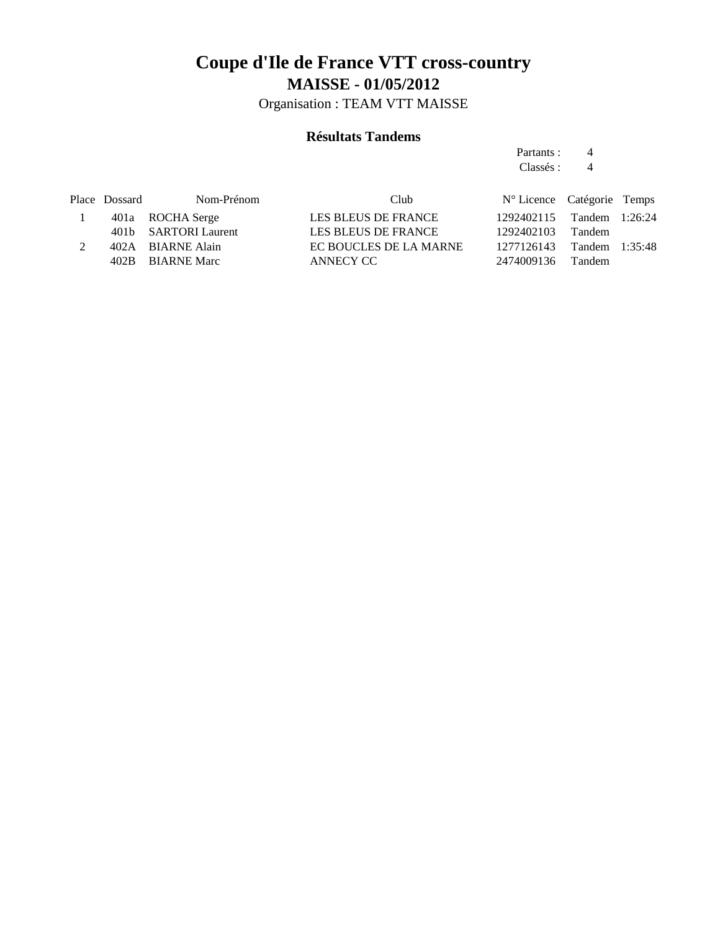Organisation : TEAM VTT MAISSE

### **Résultats Tandems**

Partants : 4 Classés : 4

| Nom-Prénom | Club                                                                                               |            |               |                                                                                                |
|------------|----------------------------------------------------------------------------------------------------|------------|---------------|------------------------------------------------------------------------------------------------|
|            | LES BLEUS DE FRANCE                                                                                |            |               |                                                                                                |
|            | LES BLEUS DE FRANCE                                                                                | 1292402103 |               |                                                                                                |
|            | EC BOUCLES DE LA MARNE                                                                             |            |               |                                                                                                |
|            | ANNECY CC                                                                                          |            | <b>Tandem</b> |                                                                                                |
|            | Place Dossard<br>401a ROCHA Serge<br>401b SARTORI Laurent<br>402A BIARNE Alain<br>402B BIARNE Marc |            | 2474009136    | N° Licence Catégorie Temps<br>1292402115 Tandem 1:26:24<br>Tandem<br>1277126143 Tandem 1:35:48 |